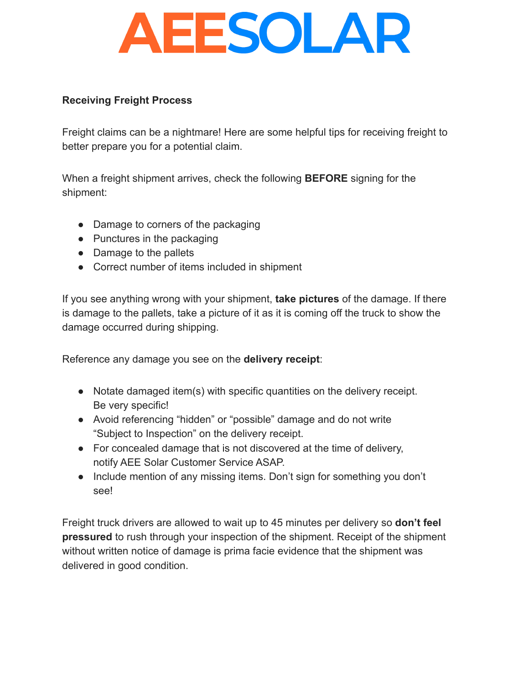## **AEESOLAR**

## **Receiving Freight Process**

Freight claims can be a nightmare! Here are some helpful tips for receiving freight to better prepare you for a potential claim.

When a freight shipment arrives, check the following **BEFORE** signing for the shipment:

- Damage to corners of the packaging
- Punctures in the packaging
- Damage to the pallets
- Correct number of items included in shipment

If you see anything wrong with your shipment, **take pictures** of the damage. If there is damage to the pallets, take a picture of it as it is coming off the truck to show the damage occurred during shipping.

Reference any damage you see on the **delivery receipt**:

- Notate damaged item(s) with specific quantities on the delivery receipt. Be very specific!
- Avoid referencing "hidden" or "possible" damage and do not write "Subject to Inspection" on the delivery receipt.
- For concealed damage that is not discovered at the time of delivery, notify AEE Solar Customer Service ASAP.
- Include mention of any missing items. Don't sign for something you don't see!

Freight truck drivers are allowed to wait up to 45 minutes per delivery so **don't feel pressured** to rush through your inspection of the shipment. Receipt of the shipment without written notice of damage is prima facie evidence that the shipment was delivered in good condition.